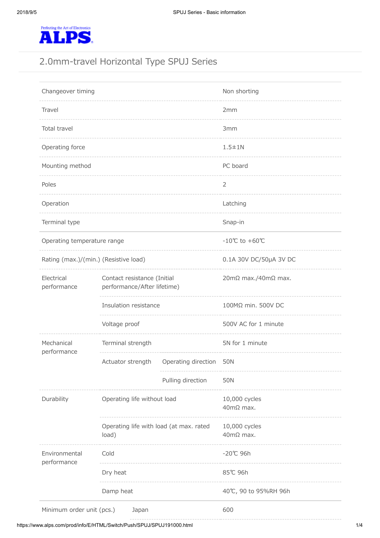

# 2.0mm-travel Horizontal Type SPUJ Series

| Changeover timing                     |                                                            |                        | Non shorting                          |
|---------------------------------------|------------------------------------------------------------|------------------------|---------------------------------------|
| Travel                                |                                                            | 2mm                    |                                       |
| Total travel                          |                                                            | 3mm                    |                                       |
| Operating force                       |                                                            | $1.5 \pm 1N$           |                                       |
| Mounting method                       |                                                            | PC board               |                                       |
| Poles                                 |                                                            |                        | $\overline{2}$                        |
| Operation                             |                                                            |                        | Latching                              |
| Terminal type                         |                                                            |                        | Snap-in                               |
| Operating temperature range           |                                                            |                        | $-10^{\circ}$ C to +60 $^{\circ}$ C   |
| Rating (max.)/(min.) (Resistive load) |                                                            | 0.1A 30V DC/50µA 3V DC |                                       |
| Electrical<br>performance             | Contact resistance (Initial<br>performance/After lifetime) |                        | $20 \text{m}\Omega$ max./40m $Ω$ max. |
|                                       | Insulation resistance                                      |                        | 100MΩ min. 500V DC                    |
|                                       | Voltage proof                                              |                        | 500V AC for 1 minute                  |
| Mechanical                            | Terminal strength                                          |                        | 5N for 1 minute                       |
| performance                           | Actuator strength                                          | Operating direction    | 50N                                   |
|                                       |                                                            | Pulling direction      | <b>50N</b>                            |
| Durability                            | Operating life without load                                |                        | 10,000 cycles<br>$40mΩ$ max.          |
|                                       | Operating life with load (at max. rated<br>load)           |                        | 10,000 cycles<br>$40$ mΩ max.         |
| Environmental<br>performance          | Cold                                                       |                        | -20℃ 96h                              |
|                                       | Dry heat                                                   |                        | 85℃ 96h                               |
|                                       | Damp heat                                                  |                        | 40℃, 90 to 95%RH 96h                  |
| Minimum order unit (pcs.)             | Japan                                                      |                        | 600                                   |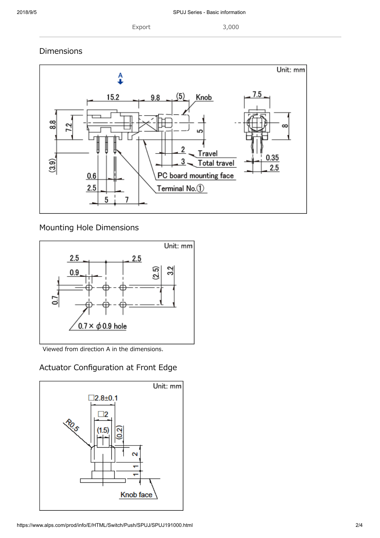Export 3,000

Dimensions



Mounting Hole Dimensions



Viewed from direction A in the dimensions.

## Actuator Configuration at Front Edge

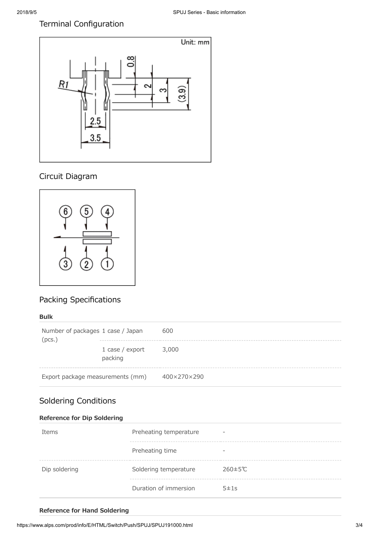## Terminal Configuration



## Circuit Diagram



## Packing Specifications

#### **Bulk**

| Number of packages 1 case / Japan<br>(pcs.) |                            | 600         |
|---------------------------------------------|----------------------------|-------------|
|                                             | 1 case / export<br>packing | 3,000       |
| Export package measurements (mm)            |                            | 400×270×290 |

## Soldering Conditions

### **Reference for Dip Soldering**

| Items         | Preheating temperature | ۰                        |
|---------------|------------------------|--------------------------|
|               | Preheating time        | $\overline{\phantom{a}}$ |
| Dip soldering | Soldering temperature  | $260 \pm 5^{\circ}$ C    |
|               | Duration of immersion  | 5±1s                     |

### **Reference for Hand Soldering**